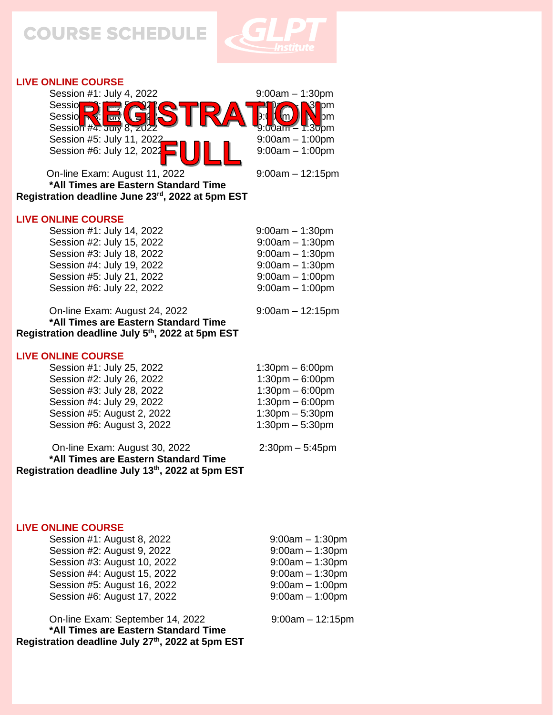

## **LIVE ONLINE COURSE**



On-line Exam: August 11, 2022 9:00am – 12:15pm

 **\*All Times are Eastern Standard Time Registration deadline June 23rd, 2022 at 5pm EST**

#### **LIVE ONLINE COURSE**

 Session #1: July 14, 2022 9:00am – 1:30pm Session #2: July 15, 2022 9:00am - 1:30pm Session #3: July 18, 2022 9:00am – 1:30pm Session #4: July 19, 2022 9:00am – 1:30pm Session #5: July 21, 2022 9:00am – 1:00pm Session #6: July 22, 2022 9:00am – 1:00pm

 On-line Exam: August 24, 2022 9:00am – 12:15pm **\*All Times are Eastern Standard Time Registration deadline July 5 th , 2022 at 5pm EST**

#### **LIVE ONLINE COURSE**

Session #1: July 25, 2022 1:30pm – 6:00pm Session #2: July 26, 2022 1:30pm – 6:00pm Session #3: July 28, 2022 1:30pm – 6:00pm Session #4: July 29, 2022 1:30pm – 6:00pm Session #5: August 2, 2022 1:30pm – 5:30pm Session #6: August 3, 2022 1:30pm – 5:30pm

 On-line Exam: August 30, 2022 2:30pm – 5:45pm **\*All Times are Eastern Standard Time Registration deadline July 13th, 2022 at 5pm EST**

#### **LIVE ONLINE COURSE**

 Session #1: August 8, 2022 9:00am – 1:30pm Session #2: August 9, 2022 9:00am – 1:30pm Session #3: August 10, 2022 9:00am – 1:30pm Session #4: August 15, 2022 9:00am – 1:30pm Session #5: August 16, 2022 9:00am - 1:00pm Session #6: August 17, 2022 9:00am – 1:00pm

 On-line Exam: September 14, 2022 9:00am – 12:15pm **\*All Times are Eastern Standard Time Registration deadline July 27th, 2022 at 5pm EST**